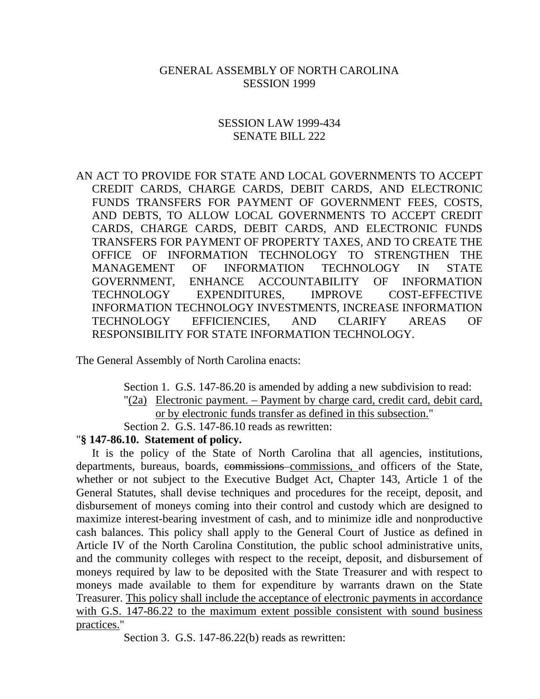#### GENERAL ASSEMBLY OF NORTH CAROLINA SESSION 1999

#### SESSION LAW 1999-434 SENATE BILL 222

AN ACT TO PROVIDE FOR STATE AND LOCAL GOVERNMENTS TO ACCEPT CREDIT CARDS, CHARGE CARDS, DEBIT CARDS, AND ELECTRONIC FUNDS TRANSFERS FOR PAYMENT OF GOVERNMENT FEES, COSTS, AND DEBTS, TO ALLOW LOCAL GOVERNMENTS TO ACCEPT CREDIT CARDS, CHARGE CARDS, DEBIT CARDS, AND ELECTRONIC FUNDS TRANSFERS FOR PAYMENT OF PROPERTY TAXES, AND TO CREATE THE OFFICE OF INFORMATION TECHNOLOGY TO STRENGTHEN THE MANAGEMENT OF INFORMATION TECHNOLOGY IN STATE GOVERNMENT, ENHANCE ACCOUNTABILITY OF INFORMATION TECHNOLOGY EXPENDITURES, IMPROVE COST-EFFECTIVE INFORMATION TECHNOLOGY INVESTMENTS, INCREASE INFORMATION TECHNOLOGY EFFICIENCIES, AND CLARIFY AREAS OF RESPONSIBILITY FOR STATE INFORMATION TECHNOLOGY.

The General Assembly of North Carolina enacts:

Section 1. G.S. 147-86.20 is amended by adding a new subdivision to read: "(2a) Electronic payment. – Payment by charge card, credit card, debit card, or by electronic funds transfer as defined in this subsection."

Section 2. G.S. 147-86.10 reads as rewritten:

#### "**§ 147-86.10. Statement of policy.**

It is the policy of the State of North Carolina that all agencies, institutions, departments, bureaus, boards, commissions commissions, and officers of the State, whether or not subject to the Executive Budget Act, Chapter 143, Article 1 of the General Statutes, shall devise techniques and procedures for the receipt, deposit, and disbursement of moneys coming into their control and custody which are designed to maximize interest-bearing investment of cash, and to minimize idle and nonproductive cash balances. This policy shall apply to the General Court of Justice as defined in Article IV of the North Carolina Constitution, the public school administrative units, and the community colleges with respect to the receipt, deposit, and disbursement of moneys required by law to be deposited with the State Treasurer and with respect to moneys made available to them for expenditure by warrants drawn on the State Treasurer. This policy shall include the acceptance of electronic payments in accordance with G.S. 147-86.22 to the maximum extent possible consistent with sound business practices."

Section 3. G.S. 147-86.22(b) reads as rewritten: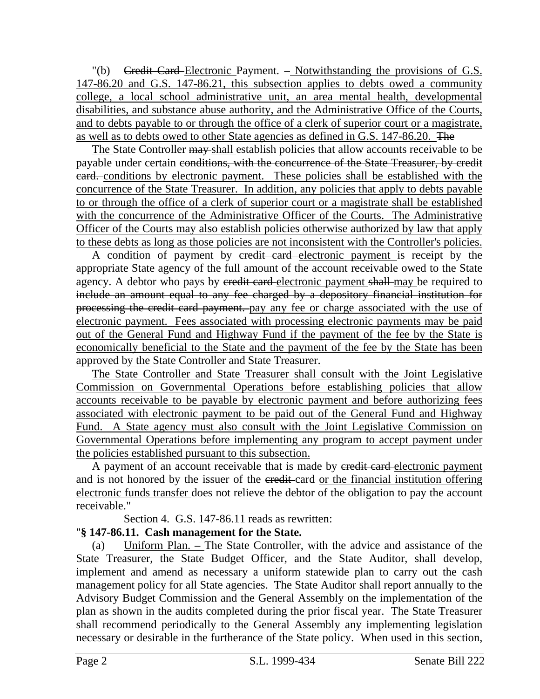$"$ (b) Credit Card-Electronic Payment. – Notwithstanding the provisions of G.S. 147-86.20 and G.S. 147-86.21, this subsection applies to debts owed a community college, a local school administrative unit, an area mental health, developmental disabilities, and substance abuse authority, and the Administrative Office of the Courts, and to debts payable to or through the office of a clerk of superior court or a magistrate, as well as to debts owed to other State agencies as defined in G.S. 147-86.20. The

The State Controller may shall establish policies that allow accounts receivable to be payable under certain conditions, with the concurrence of the State Treasurer, by credit card. conditions by electronic payment. These policies shall be established with the concurrence of the State Treasurer. In addition, any policies that apply to debts payable to or through the office of a clerk of superior court or a magistrate shall be established with the concurrence of the Administrative Officer of the Courts. The Administrative Officer of the Courts may also establish policies otherwise authorized by law that apply to these debts as long as those policies are not inconsistent with the Controller's policies.

A condition of payment by credit card electronic payment is receipt by the appropriate State agency of the full amount of the account receivable owed to the State agency. A debtor who pays by credit card electronic payment shall may be required to include an amount equal to any fee charged by a depository financial institution for processing the credit card payment. pay any fee or charge associated with the use of electronic payment. Fees associated with processing electronic payments may be paid out of the General Fund and Highway Fund if the payment of the fee by the State is economically beneficial to the State and the payment of the fee by the State has been approved by the State Controller and State Treasurer.

The State Controller and State Treasurer shall consult with the Joint Legislative Commission on Governmental Operations before establishing policies that allow accounts receivable to be payable by electronic payment and before authorizing fees associated with electronic payment to be paid out of the General Fund and Highway Fund. A State agency must also consult with the Joint Legislative Commission on Governmental Operations before implementing any program to accept payment under the policies established pursuant to this subsection.

A payment of an account receivable that is made by eredit card-electronic payment and is not honored by the issuer of the eredit-card or the financial institution offering electronic funds transfer does not relieve the debtor of the obligation to pay the account receivable."

Section 4. G.S. 147-86.11 reads as rewritten:

# "**§ 147-86.11. Cash management for the State.**

(a) Uniform Plan. – The State Controller, with the advice and assistance of the State Treasurer, the State Budget Officer, and the State Auditor, shall develop, implement and amend as necessary a uniform statewide plan to carry out the cash management policy for all State agencies. The State Auditor shall report annually to the Advisory Budget Commission and the General Assembly on the implementation of the plan as shown in the audits completed during the prior fiscal year. The State Treasurer shall recommend periodically to the General Assembly any implementing legislation necessary or desirable in the furtherance of the State policy. When used in this section,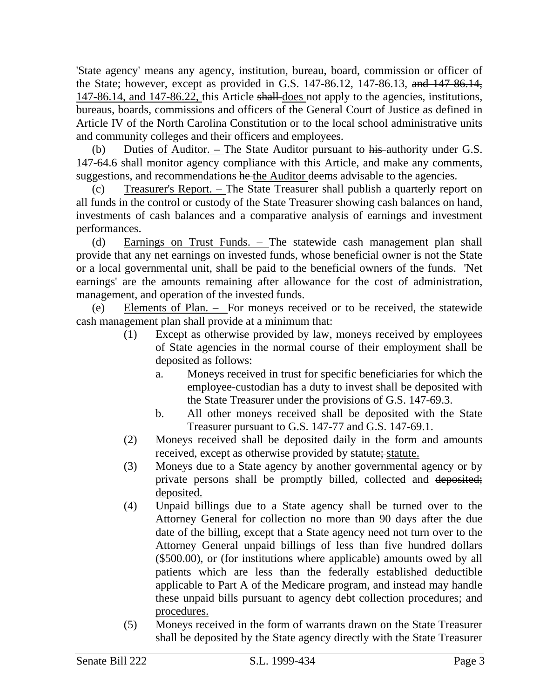'State agency' means any agency, institution, bureau, board, commission or officer of the State; however, except as provided in G.S. 147-86.12, 147-86.13, and 147-86.14, 147-86.14, and 147-86.22, this Article shall does not apply to the agencies, institutions, bureaus, boards, commissions and officers of the General Court of Justice as defined in Article IV of the North Carolina Constitution or to the local school administrative units and community colleges and their officers and employees.

(b) Duties of Auditor. – The State Auditor pursuant to his authority under G.S. 147-64.6 shall monitor agency compliance with this Article, and make any comments, suggestions, and recommendations he the Auditor deems advisable to the agencies.

(c) Treasurer's Report. – The State Treasurer shall publish a quarterly report on all funds in the control or custody of the State Treasurer showing cash balances on hand, investments of cash balances and a comparative analysis of earnings and investment performances.

(d) Earnings on Trust Funds. – The statewide cash management plan shall provide that any net earnings on invested funds, whose beneficial owner is not the State or a local governmental unit, shall be paid to the beneficial owners of the funds. 'Net earnings' are the amounts remaining after allowance for the cost of administration, management, and operation of the invested funds.

(e) Elements of Plan. – For moneys received or to be received, the statewide cash management plan shall provide at a minimum that:

- (1) Except as otherwise provided by law, moneys received by employees of State agencies in the normal course of their employment shall be deposited as follows:
	- a. Moneys received in trust for specific beneficiaries for which the employee-custodian has a duty to invest shall be deposited with the State Treasurer under the provisions of G.S. 147-69.3.
	- b. All other moneys received shall be deposited with the State Treasurer pursuant to G.S. 147-77 and G.S. 147-69.1.
- (2) Moneys received shall be deposited daily in the form and amounts received, except as otherwise provided by statute; statute.
- (3) Moneys due to a State agency by another governmental agency or by private persons shall be promptly billed, collected and deposited; deposited.
- (4) Unpaid billings due to a State agency shall be turned over to the Attorney General for collection no more than 90 days after the due date of the billing, except that a State agency need not turn over to the Attorney General unpaid billings of less than five hundred dollars (\$500.00), or (for institutions where applicable) amounts owed by all patients which are less than the federally established deductible applicable to Part A of the Medicare program, and instead may handle these unpaid bills pursuant to agency debt collection procedures; and procedures.
- (5) Moneys received in the form of warrants drawn on the State Treasurer shall be deposited by the State agency directly with the State Treasurer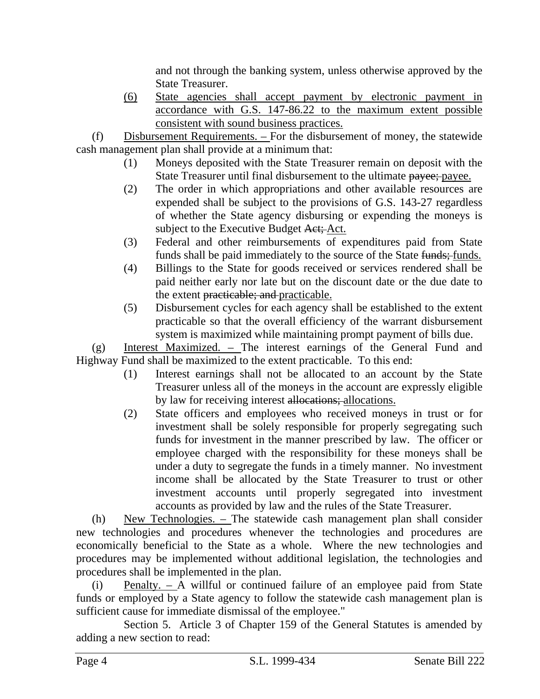and not through the banking system, unless otherwise approved by the State Treasurer.

(6) State agencies shall accept payment by electronic payment in accordance with G.S. 147-86.22 to the maximum extent possible consistent with sound business practices.

(f) Disbursement Requirements. – For the disbursement of money, the statewide cash management plan shall provide at a minimum that:

- (1) Moneys deposited with the State Treasurer remain on deposit with the State Treasurer until final disbursement to the ultimate payee; payee.
- (2) The order in which appropriations and other available resources are expended shall be subject to the provisions of G.S. 143-27 regardless of whether the State agency disbursing or expending the moneys is subject to the Executive Budget Act; Act.
- (3) Federal and other reimbursements of expenditures paid from State funds shall be paid immediately to the source of the State funds; funds.
- (4) Billings to the State for goods received or services rendered shall be paid neither early nor late but on the discount date or the due date to the extent practicable; and practicable.
- (5) Disbursement cycles for each agency shall be established to the extent practicable so that the overall efficiency of the warrant disbursement system is maximized while maintaining prompt payment of bills due.

(g) Interest Maximized. – The interest earnings of the General Fund and Highway Fund shall be maximized to the extent practicable. To this end:

- (1) Interest earnings shall not be allocated to an account by the State Treasurer unless all of the moneys in the account are expressly eligible by law for receiving interest allocations; allocations.
- (2) State officers and employees who received moneys in trust or for investment shall be solely responsible for properly segregating such funds for investment in the manner prescribed by law. The officer or employee charged with the responsibility for these moneys shall be under a duty to segregate the funds in a timely manner. No investment income shall be allocated by the State Treasurer to trust or other investment accounts until properly segregated into investment accounts as provided by law and the rules of the State Treasurer.

(h) New Technologies. – The statewide cash management plan shall consider new technologies and procedures whenever the technologies and procedures are economically beneficial to the State as a whole. Where the new technologies and procedures may be implemented without additional legislation, the technologies and procedures shall be implemented in the plan.

(i) Penalty. – A willful or continued failure of an employee paid from State funds or employed by a State agency to follow the statewide cash management plan is sufficient cause for immediate dismissal of the employee."

Section 5. Article 3 of Chapter 159 of the General Statutes is amended by adding a new section to read: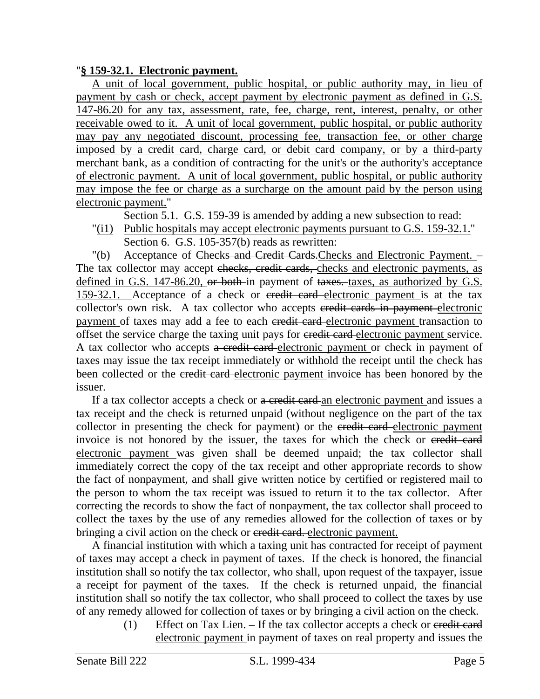#### "**§ 159-32.1. Electronic payment.**

A unit of local government, public hospital, or public authority may, in lieu of payment by cash or check, accept payment by electronic payment as defined in G.S. 147-86.20 for any tax, assessment, rate, fee, charge, rent, interest, penalty, or other receivable owed to it. A unit of local government, public hospital, or public authority may pay any negotiated discount, processing fee, transaction fee, or other charge imposed by a credit card, charge card, or debit card company, or by a third-party merchant bank, as a condition of contracting for the unit's or the authority's acceptance of electronic payment. A unit of local government, public hospital, or public authority may impose the fee or charge as a surcharge on the amount paid by the person using electronic payment."

Section 5.1. G.S. 159-39 is amended by adding a new subsection to read:

"(i1) Public hospitals may accept electronic payments pursuant to G.S. 159-32.1." Section 6. G.S. 105-357(b) reads as rewritten:

"(b) Acceptance of Checks and Credit Cards.Checks and Electronic Payment. – The tax collector may accept checks, credit cards, checks and electronic payments, as defined in G.S. 147-86.20, or both in payment of taxes. taxes, as authorized by G.S. 159-32.1. Acceptance of a check or credit card electronic payment is at the tax collector's own risk. A tax collector who accepts eredit cards in payment electronic payment of taxes may add a fee to each eredit card electronic payment transaction to offset the service charge the taxing unit pays for eredit card electronic payment service. A tax collector who accepts a credit card electronic payment or check in payment of taxes may issue the tax receipt immediately or withhold the receipt until the check has been collected or the eredit card electronic payment invoice has been honored by the issuer.

If a tax collector accepts a check or a credit card an electronic payment and issues a tax receipt and the check is returned unpaid (without negligence on the part of the tax collector in presenting the check for payment) or the credit card electronic payment invoice is not honored by the issuer, the taxes for which the check or eredit card electronic payment was given shall be deemed unpaid; the tax collector shall immediately correct the copy of the tax receipt and other appropriate records to show the fact of nonpayment, and shall give written notice by certified or registered mail to the person to whom the tax receipt was issued to return it to the tax collector. After correcting the records to show the fact of nonpayment, the tax collector shall proceed to collect the taxes by the use of any remedies allowed for the collection of taxes or by bringing a civil action on the check or credit card. electronic payment.

A financial institution with which a taxing unit has contracted for receipt of payment of taxes may accept a check in payment of taxes. If the check is honored, the financial institution shall so notify the tax collector, who shall, upon request of the taxpayer, issue a receipt for payment of the taxes. If the check is returned unpaid, the financial institution shall so notify the tax collector, who shall proceed to collect the taxes by use of any remedy allowed for collection of taxes or by bringing a civil action on the check.

(1) Effect on Tax Lien. – If the tax collector accepts a check or credit card electronic payment in payment of taxes on real property and issues the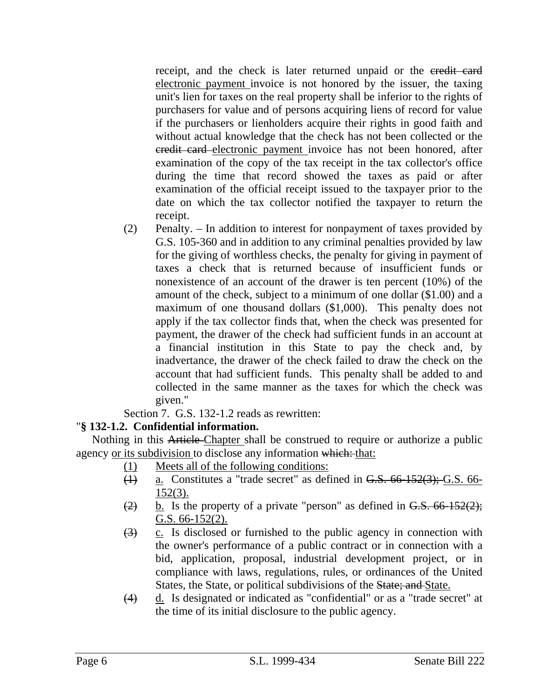receipt, and the check is later returned unpaid or the eredit card electronic payment invoice is not honored by the issuer, the taxing unit's lien for taxes on the real property shall be inferior to the rights of purchasers for value and of persons acquiring liens of record for value if the purchasers or lienholders acquire their rights in good faith and without actual knowledge that the check has not been collected or the credit card electronic payment invoice has not been honored, after examination of the copy of the tax receipt in the tax collector's office during the time that record showed the taxes as paid or after examination of the official receipt issued to the taxpayer prior to the date on which the tax collector notified the taxpayer to return the receipt.

(2) Penalty. – In addition to interest for nonpayment of taxes provided by G.S. 105-360 and in addition to any criminal penalties provided by law for the giving of worthless checks, the penalty for giving in payment of taxes a check that is returned because of insufficient funds or nonexistence of an account of the drawer is ten percent (10%) of the amount of the check, subject to a minimum of one dollar (\$1.00) and a maximum of one thousand dollars (\$1,000). This penalty does not apply if the tax collector finds that, when the check was presented for payment, the drawer of the check had sufficient funds in an account at a financial institution in this State to pay the check and, by inadvertance, the drawer of the check failed to draw the check on the account that had sufficient funds. This penalty shall be added to and collected in the same manner as the taxes for which the check was given."

Section 7. G.S. 132-1.2 reads as rewritten:

# "**§ 132-1.2. Confidential information.**

Nothing in this Article-Chapter\_shall be construed to require or authorize a public agency or its subdivision to disclose any information which: that:

- (1) Meets all of the following conditions:
- $\frac{1}{2}$  a. Constitutes a "trade secret" as defined in G.S. 66-152(3); G.S. 66-152(3).
- $\frac{1}{2}$  b. Is the property of a private "person" as defined in G.S. 66-152(2); G.S. 66-152(2).
- $\overline{(3)}$  c. Is disclosed or furnished to the public agency in connection with the owner's performance of a public contract or in connection with a bid, application, proposal, industrial development project, or in compliance with laws, regulations, rules, or ordinances of the United States, the State, or political subdivisions of the State; and State.
- (4) d. Is designated or indicated as "confidential" or as a "trade secret" at the time of its initial disclosure to the public agency.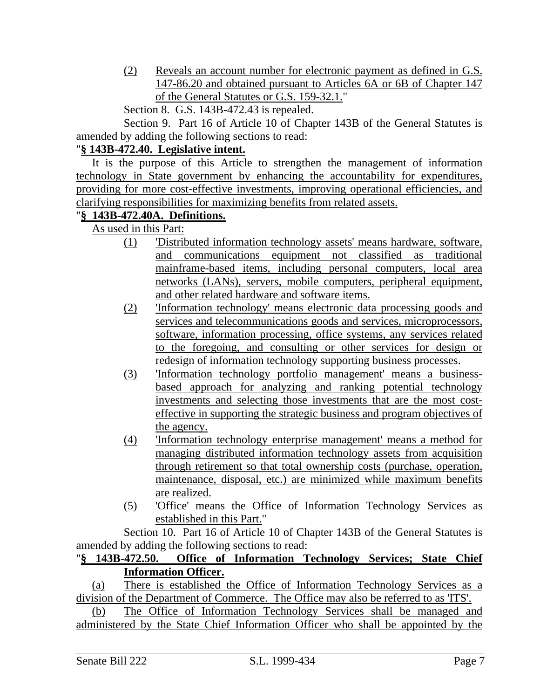(2) Reveals an account number for electronic payment as defined in G.S. 147-86.20 and obtained pursuant to Articles 6A or 6B of Chapter 147 of the General Statutes or G.S. 159-32.1."

Section 8. G.S. 143B-472.43 is repealed.

Section 9. Part 16 of Article 10 of Chapter 143B of the General Statutes is amended by adding the following sections to read:

### "**§ 143B-472.40. Legislative intent.**

It is the purpose of this Article to strengthen the management of information technology in State government by enhancing the accountability for expenditures, providing for more cost-effective investments, improving operational efficiencies, and clarifying responsibilities for maximizing benefits from related assets.

# "**§ 143B-472.40A. Definitions.**

As used in this Part:

- (1) 'Distributed information technology assets' means hardware, software, and communications equipment not classified as traditional mainframe-based items, including personal computers, local area networks (LANs), servers, mobile computers, peripheral equipment, and other related hardware and software items.
- (2) 'Information technology' means electronic data processing goods and services and telecommunications goods and services, microprocessors, software, information processing, office systems, any services related to the foregoing, and consulting or other services for design or redesign of information technology supporting business processes.
- (3) 'Information technology portfolio management' means a businessbased approach for analyzing and ranking potential technology investments and selecting those investments that are the most costeffective in supporting the strategic business and program objectives of the agency.
- (4) 'Information technology enterprise management' means a method for managing distributed information technology assets from acquisition through retirement so that total ownership costs (purchase, operation, maintenance, disposal, etc.) are minimized while maximum benefits are realized.
- (5) 'Office' means the Office of Information Technology Services as established in this Part."

Section 10. Part 16 of Article 10 of Chapter 143B of the General Statutes is amended by adding the following sections to read:

# "**§ 143B-472.50. Office of Information Technology Services; State Chief Information Officer.**

(a) There is established the Office of Information Technology Services as a division of the Department of Commerce. The Office may also be referred to as 'ITS'.

(b) The Office of Information Technology Services shall be managed and administered by the State Chief Information Officer who shall be appointed by the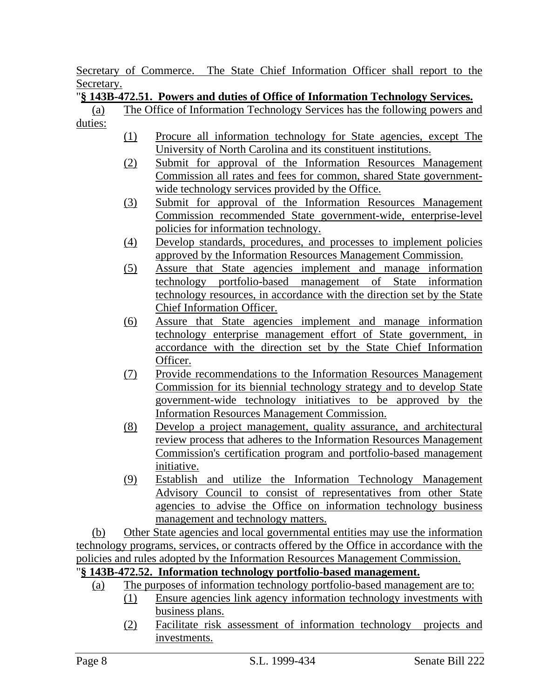Secretary of Commerce. The State Chief Information Officer shall report to the Secretary.

# "**§ 143B-472.51. Powers and duties of Office of Information Technology Services.**

- (a) The Office of Information Technology Services has the following powers and duties:
	- (1) Procure all information technology for State agencies, except The University of North Carolina and its constituent institutions.
	- (2) Submit for approval of the Information Resources Management Commission all rates and fees for common, shared State governmentwide technology services provided by the Office.
	- (3) Submit for approval of the Information Resources Management Commission recommended State government-wide, enterprise-level policies for information technology.
	- (4) Develop standards, procedures, and processes to implement policies approved by the Information Resources Management Commission.
	- (5) Assure that State agencies implement and manage information technology portfolio-based management of State information technology resources, in accordance with the direction set by the State Chief Information Officer.
	- (6) Assure that State agencies implement and manage information technology enterprise management effort of State government, in accordance with the direction set by the State Chief Information Officer.
	- (7) Provide recommendations to the Information Resources Management Commission for its biennial technology strategy and to develop State government-wide technology initiatives to be approved by the Information Resources Management Commission.
	- (8) Develop a project management, quality assurance, and architectural review process that adheres to the Information Resources Management Commission's certification program and portfolio-based management initiative.
	- (9) Establish and utilize the Information Technology Management Advisory Council to consist of representatives from other State agencies to advise the Office on information technology business management and technology matters.

(b) Other State agencies and local governmental entities may use the information technology programs, services, or contracts offered by the Office in accordance with the policies and rules adopted by the Information Resources Management Commission.

# "**§ 143B-472.52. Information technology portfolio-based management.**

- (a) The purposes of information technology portfolio-based management are to:
	- (1) Ensure agencies link agency information technology investments with business plans.
	- (2) Facilitate risk assessment of information technology projects and investments.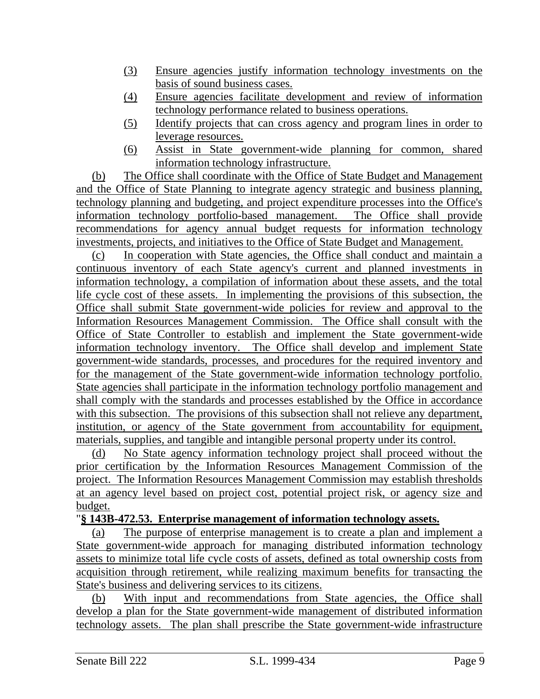- (3) Ensure agencies justify information technology investments on the basis of sound business cases.
- (4) Ensure agencies facilitate development and review of information technology performance related to business operations.
- (5) Identify projects that can cross agency and program lines in order to leverage resources.
- (6) Assist in State government-wide planning for common, shared information technology infrastructure.

(b) The Office shall coordinate with the Office of State Budget and Management and the Office of State Planning to integrate agency strategic and business planning, technology planning and budgeting, and project expenditure processes into the Office's information technology portfolio-based management. The Office shall provide recommendations for agency annual budget requests for information technology investments, projects, and initiatives to the Office of State Budget and Management.

(c) In cooperation with State agencies, the Office shall conduct and maintain a continuous inventory of each State agency's current and planned investments in information technology, a compilation of information about these assets, and the total life cycle cost of these assets. In implementing the provisions of this subsection, the Office shall submit State government-wide policies for review and approval to the Information Resources Management Commission. The Office shall consult with the Office of State Controller to establish and implement the State government-wide information technology inventory. The Office shall develop and implement State government-wide standards, processes, and procedures for the required inventory and for the management of the State government-wide information technology portfolio. State agencies shall participate in the information technology portfolio management and shall comply with the standards and processes established by the Office in accordance with this subsection. The provisions of this subsection shall not relieve any department, institution, or agency of the State government from accountability for equipment, materials, supplies, and tangible and intangible personal property under its control.

(d) No State agency information technology project shall proceed without the prior certification by the Information Resources Management Commission of the project. The Information Resources Management Commission may establish thresholds at an agency level based on project cost, potential project risk, or agency size and budget.

#### "**§ 143B-472.53. Enterprise management of information technology assets.**

(a) The purpose of enterprise management is to create a plan and implement a State government-wide approach for managing distributed information technology assets to minimize total life cycle costs of assets, defined as total ownership costs from acquisition through retirement, while realizing maximum benefits for transacting the State's business and delivering services to its citizens.

(b) With input and recommendations from State agencies, the Office shall develop a plan for the State government-wide management of distributed information technology assets. The plan shall prescribe the State government-wide infrastructure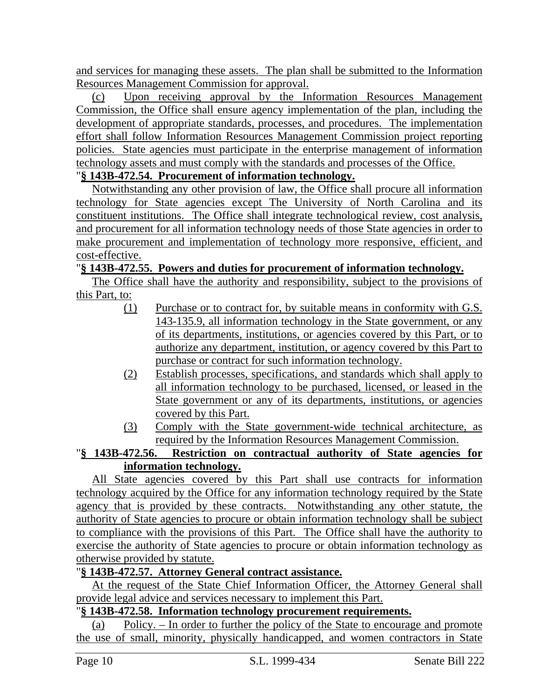and services for managing these assets. The plan shall be submitted to the Information Resources Management Commission for approval.

(c) Upon receiving approval by the Information Resources Management Commission, the Office shall ensure agency implementation of the plan, including the development of appropriate standards, processes, and procedures. The implementation effort shall follow Information Resources Management Commission project reporting policies. State agencies must participate in the enterprise management of information technology assets and must comply with the standards and processes of the Office.

# "**§ 143B-472.54. Procurement of information technology.**

Notwithstanding any other provision of law, the Office shall procure all information technology for State agencies except The University of North Carolina and its constituent institutions. The Office shall integrate technological review, cost analysis, and procurement for all information technology needs of those State agencies in order to make procurement and implementation of technology more responsive, efficient, and cost-effective.

#### "**§ 143B-472.55. Powers and duties for procurement of information technology.**

The Office shall have the authority and responsibility, subject to the provisions of this Part, to:

- (1) Purchase or to contract for, by suitable means in conformity with G.S. 143-135.9, all information technology in the State government, or any of its departments, institutions, or agencies covered by this Part, or to authorize any department, institution, or agency covered by this Part to purchase or contract for such information technology.
- (2) Establish processes, specifications, and standards which shall apply to all information technology to be purchased, licensed, or leased in the State government or any of its departments, institutions, or agencies covered by this Part.
- (3) Comply with the State government-wide technical architecture, as required by the Information Resources Management Commission.

# "**§ 143B-472.56. Restriction on contractual authority of State agencies for information technology.**

All State agencies covered by this Part shall use contracts for information technology acquired by the Office for any information technology required by the State agency that is provided by these contracts. Notwithstanding any other statute, the authority of State agencies to procure or obtain information technology shall be subject to compliance with the provisions of this Part. The Office shall have the authority to exercise the authority of State agencies to procure or obtain information technology as otherwise provided by statute.

# "**§ 143B-472.57. Attorney General contract assistance.**

At the request of the State Chief Information Officer, the Attorney General shall provide legal advice and services necessary to implement this Part.

### "**§ 143B-472.58. Information technology procurement requirements.**

(a) Policy. – In order to further the policy of the State to encourage and promote the use of small, minority, physically handicapped, and women contractors in State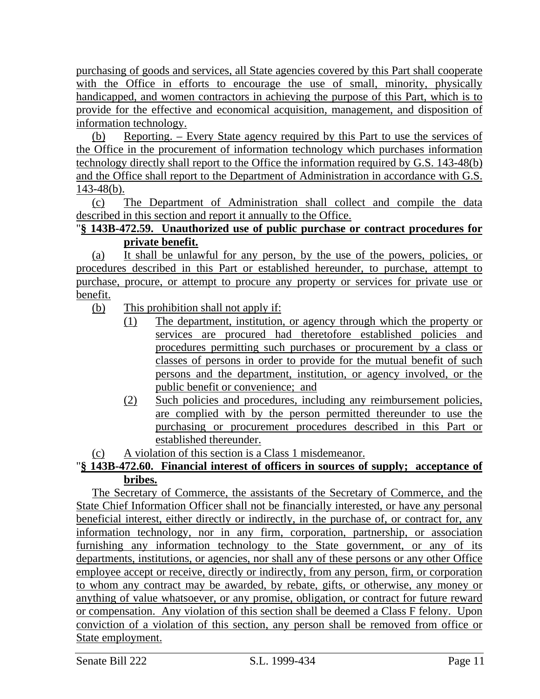purchasing of goods and services, all State agencies covered by this Part shall cooperate with the Office in efforts to encourage the use of small, minority, physically handicapped, and women contractors in achieving the purpose of this Part, which is to provide for the effective and economical acquisition, management, and disposition of information technology.

(b) Reporting. – Every State agency required by this Part to use the services of the Office in the procurement of information technology which purchases information technology directly shall report to the Office the information required by G.S. 143-48(b) and the Office shall report to the Department of Administration in accordance with G.S. 143-48(b).

(c) The Department of Administration shall collect and compile the data described in this section and report it annually to the Office.

# "**§ 143B-472.59. Unauthorized use of public purchase or contract procedures for private benefit.**

(a) It shall be unlawful for any person, by the use of the powers, policies, or procedures described in this Part or established hereunder, to purchase, attempt to purchase, procure, or attempt to procure any property or services for private use or benefit.

(b) This prohibition shall not apply if:

- (1) The department, institution, or agency through which the property or services are procured had theretofore established policies and procedures permitting such purchases or procurement by a class or classes of persons in order to provide for the mutual benefit of such persons and the department, institution, or agency involved, or the public benefit or convenience; and
- (2) Such policies and procedures, including any reimbursement policies, are complied with by the person permitted thereunder to use the purchasing or procurement procedures described in this Part or established thereunder.
- (c) A violation of this section is a Class 1 misdemeanor.

# "**§ 143B-472.60. Financial interest of officers in sources of supply; acceptance of bribes.**

The Secretary of Commerce, the assistants of the Secretary of Commerce, and the State Chief Information Officer shall not be financially interested, or have any personal beneficial interest, either directly or indirectly, in the purchase of, or contract for, any information technology, nor in any firm, corporation, partnership, or association furnishing any information technology to the State government, or any of its departments, institutions, or agencies, nor shall any of these persons or any other Office employee accept or receive, directly or indirectly, from any person, firm, or corporation to whom any contract may be awarded, by rebate, gifts, or otherwise, any money or anything of value whatsoever, or any promise, obligation, or contract for future reward or compensation. Any violation of this section shall be deemed a Class F felony. Upon conviction of a violation of this section, any person shall be removed from office or State employment.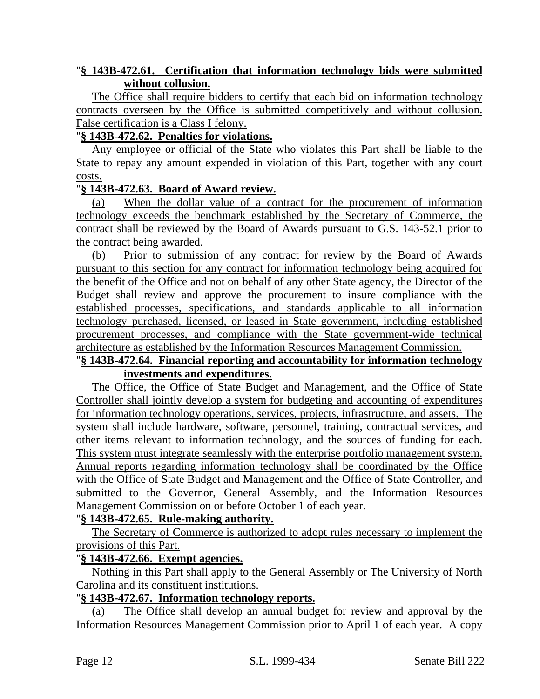### "**§ 143B-472.61. Certification that information technology bids were submitted without collusion.**

The Office shall require bidders to certify that each bid on information technology contracts overseen by the Office is submitted competitively and without collusion. False certification is a Class I felony.

#### "**§ 143B-472.62. Penalties for violations.**

Any employee or official of the State who violates this Part shall be liable to the State to repay any amount expended in violation of this Part, together with any court costs.

#### "**§ 143B-472.63. Board of Award review.**

(a) When the dollar value of a contract for the procurement of information technology exceeds the benchmark established by the Secretary of Commerce, the contract shall be reviewed by the Board of Awards pursuant to G.S. 143-52.1 prior to the contract being awarded.

(b) Prior to submission of any contract for review by the Board of Awards pursuant to this section for any contract for information technology being acquired for the benefit of the Office and not on behalf of any other State agency, the Director of the Budget shall review and approve the procurement to insure compliance with the established processes, specifications, and standards applicable to all information technology purchased, licensed, or leased in State government, including established procurement processes, and compliance with the State government-wide technical architecture as established by the Information Resources Management Commission.

#### "**§ 143B-472.64. Financial reporting and accountability for information technology investments and expenditures.**

The Office, the Office of State Budget and Management, and the Office of State Controller shall jointly develop a system for budgeting and accounting of expenditures for information technology operations, services, projects, infrastructure, and assets. The system shall include hardware, software, personnel, training, contractual services, and other items relevant to information technology, and the sources of funding for each. This system must integrate seamlessly with the enterprise portfolio management system. Annual reports regarding information technology shall be coordinated by the Office with the Office of State Budget and Management and the Office of State Controller, and submitted to the Governor, General Assembly, and the Information Resources Management Commission on or before October 1 of each year.

#### "**§ 143B-472.65. Rule-making authority.**

The Secretary of Commerce is authorized to adopt rules necessary to implement the provisions of this Part.

# "**§ 143B-472.66. Exempt agencies.**

Nothing in this Part shall apply to the General Assembly or The University of North Carolina and its constituent institutions.

# "**§ 143B-472.67. Information technology reports.**

(a) The Office shall develop an annual budget for review and approval by the Information Resources Management Commission prior to April 1 of each year. A copy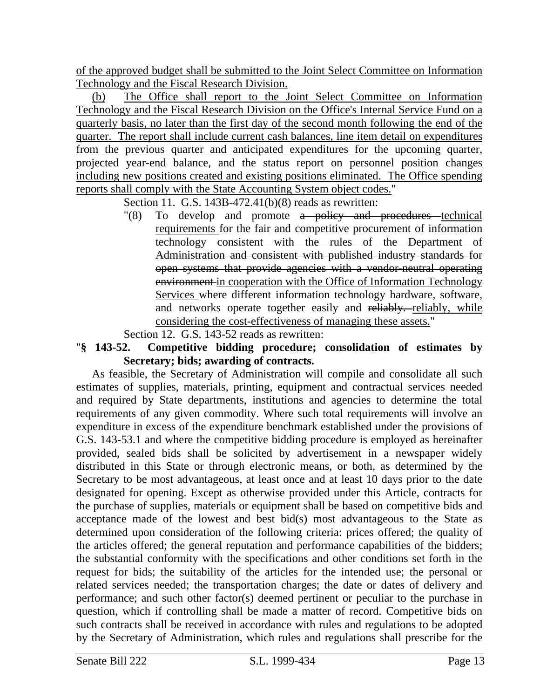of the approved budget shall be submitted to the Joint Select Committee on Information Technology and the Fiscal Research Division.

(b) The Office shall report to the Joint Select Committee on Information Technology and the Fiscal Research Division on the Office's Internal Service Fund on a quarterly basis, no later than the first day of the second month following the end of the quarter. The report shall include current cash balances, line item detail on expenditures from the previous quarter and anticipated expenditures for the upcoming quarter, projected year-end balance, and the status report on personnel position changes including new positions created and existing positions eliminated. The Office spending reports shall comply with the State Accounting System object codes."

Section 11. G.S. 143B-472.41(b)(8) reads as rewritten:

"(8) To develop and promote a policy and procedures technical requirements for the fair and competitive procurement of information technology consistent with the rules of the Department of Administration and consistent with published industry standards for open systems that provide agencies with a vendor-neutral operating environment in cooperation with the Office of Information Technology Services where different information technology hardware, software, and networks operate together easily and reliably. reliably, while considering the cost-effectiveness of managing these assets."

Section 12. G.S. 143-52 reads as rewritten:

#### "**§ 143-52. Competitive bidding procedure; consolidation of estimates by Secretary; bids; awarding of contracts.**

As feasible, the Secretary of Administration will compile and consolidate all such estimates of supplies, materials, printing, equipment and contractual services needed and required by State departments, institutions and agencies to determine the total requirements of any given commodity. Where such total requirements will involve an expenditure in excess of the expenditure benchmark established under the provisions of G.S. 143-53.1 and where the competitive bidding procedure is employed as hereinafter provided, sealed bids shall be solicited by advertisement in a newspaper widely distributed in this State or through electronic means, or both, as determined by the Secretary to be most advantageous, at least once and at least 10 days prior to the date designated for opening. Except as otherwise provided under this Article, contracts for the purchase of supplies, materials or equipment shall be based on competitive bids and acceptance made of the lowest and best bid(s) most advantageous to the State as determined upon consideration of the following criteria: prices offered; the quality of the articles offered; the general reputation and performance capabilities of the bidders; the substantial conformity with the specifications and other conditions set forth in the request for bids; the suitability of the articles for the intended use; the personal or related services needed; the transportation charges; the date or dates of delivery and performance; and such other factor(s) deemed pertinent or peculiar to the purchase in question, which if controlling shall be made a matter of record. Competitive bids on such contracts shall be received in accordance with rules and regulations to be adopted by the Secretary of Administration, which rules and regulations shall prescribe for the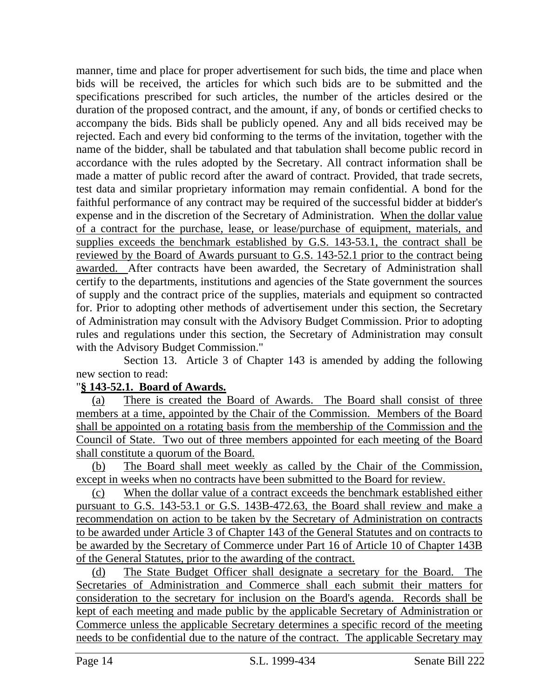manner, time and place for proper advertisement for such bids, the time and place when bids will be received, the articles for which such bids are to be submitted and the specifications prescribed for such articles, the number of the articles desired or the duration of the proposed contract, and the amount, if any, of bonds or certified checks to accompany the bids. Bids shall be publicly opened. Any and all bids received may be rejected. Each and every bid conforming to the terms of the invitation, together with the name of the bidder, shall be tabulated and that tabulation shall become public record in accordance with the rules adopted by the Secretary. All contract information shall be made a matter of public record after the award of contract. Provided, that trade secrets, test data and similar proprietary information may remain confidential. A bond for the faithful performance of any contract may be required of the successful bidder at bidder's expense and in the discretion of the Secretary of Administration. When the dollar value of a contract for the purchase, lease, or lease/purchase of equipment, materials, and supplies exceeds the benchmark established by G.S. 143-53.1, the contract shall be reviewed by the Board of Awards pursuant to G.S. 143-52.1 prior to the contract being awarded. After contracts have been awarded, the Secretary of Administration shall certify to the departments, institutions and agencies of the State government the sources of supply and the contract price of the supplies, materials and equipment so contracted for. Prior to adopting other methods of advertisement under this section, the Secretary of Administration may consult with the Advisory Budget Commission. Prior to adopting rules and regulations under this section, the Secretary of Administration may consult with the Advisory Budget Commission."

Section 13. Article 3 of Chapter 143 is amended by adding the following new section to read:

#### "**§ 143-52.1. Board of Awards.**

(a) There is created the Board of Awards. The Board shall consist of three members at a time, appointed by the Chair of the Commission. Members of the Board shall be appointed on a rotating basis from the membership of the Commission and the Council of State. Two out of three members appointed for each meeting of the Board shall constitute a quorum of the Board.

(b) The Board shall meet weekly as called by the Chair of the Commission, except in weeks when no contracts have been submitted to the Board for review.

(c) When the dollar value of a contract exceeds the benchmark established either pursuant to G.S. 143-53.1 or G.S. 143B-472.63, the Board shall review and make a recommendation on action to be taken by the Secretary of Administration on contracts to be awarded under Article 3 of Chapter 143 of the General Statutes and on contracts to be awarded by the Secretary of Commerce under Part 16 of Article 10 of Chapter 143B of the General Statutes, prior to the awarding of the contract.

(d) The State Budget Officer shall designate a secretary for the Board. The Secretaries of Administration and Commerce shall each submit their matters for consideration to the secretary for inclusion on the Board's agenda. Records shall be kept of each meeting and made public by the applicable Secretary of Administration or Commerce unless the applicable Secretary determines a specific record of the meeting needs to be confidential due to the nature of the contract. The applicable Secretary may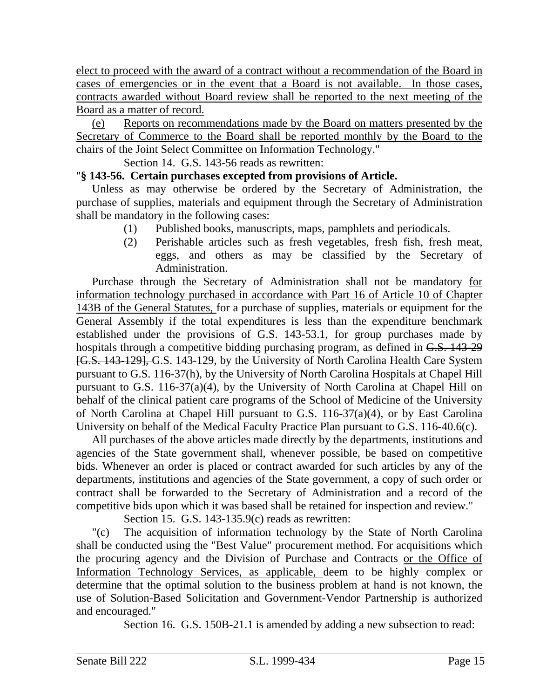elect to proceed with the award of a contract without a recommendation of the Board in cases of emergencies or in the event that a Board is not available. In those cases, contracts awarded without Board review shall be reported to the next meeting of the Board as a matter of record.

(e) Reports on recommendations made by the Board on matters presented by the Secretary of Commerce to the Board shall be reported monthly by the Board to the chairs of the Joint Select Committee on Information Technology."

Section 14. G.S. 143-56 reads as rewritten:

# "**§ 143-56. Certain purchases excepted from provisions of Article.**

Unless as may otherwise be ordered by the Secretary of Administration, the purchase of supplies, materials and equipment through the Secretary of Administration shall be mandatory in the following cases:

- (1) Published books, manuscripts, maps, pamphlets and periodicals.
- (2) Perishable articles such as fresh vegetables, fresh fish, fresh meat, eggs, and others as may be classified by the Secretary of Administration.

Purchase through the Secretary of Administration shall not be mandatory for information technology purchased in accordance with Part 16 of Article 10 of Chapter 143B of the General Statutes, for a purchase of supplies, materials or equipment for the General Assembly if the total expenditures is less than the expenditure benchmark established under the provisions of G.S. 143-53.1, for group purchases made by hospitals through a competitive bidding purchasing program, as defined in G.S. 143-29 [G.S. 143-129], G.S. 143-129, by the University of North Carolina Health Care System pursuant to G.S. 116-37(h), by the University of North Carolina Hospitals at Chapel Hill pursuant to G.S. 116-37(a)(4), by the University of North Carolina at Chapel Hill on behalf of the clinical patient care programs of the School of Medicine of the University of North Carolina at Chapel Hill pursuant to G.S. 116-37(a)(4), or by East Carolina University on behalf of the Medical Faculty Practice Plan pursuant to G.S. 116-40.6(c).

All purchases of the above articles made directly by the departments, institutions and agencies of the State government shall, whenever possible, be based on competitive bids. Whenever an order is placed or contract awarded for such articles by any of the departments, institutions and agencies of the State government, a copy of such order or contract shall be forwarded to the Secretary of Administration and a record of the competitive bids upon which it was based shall be retained for inspection and review."

Section 15. G.S. 143-135.9(c) reads as rewritten:

"(c) The acquisition of information technology by the State of North Carolina shall be conducted using the "Best Value" procurement method. For acquisitions which the procuring agency and the Division of Purchase and Contracts or the Office of Information Technology Services, as applicable, deem to be highly complex or determine that the optimal solution to the business problem at hand is not known, the use of Solution-Based Solicitation and Government-Vendor Partnership is authorized and encouraged."

Section 16. G.S. 150B-21.1 is amended by adding a new subsection to read: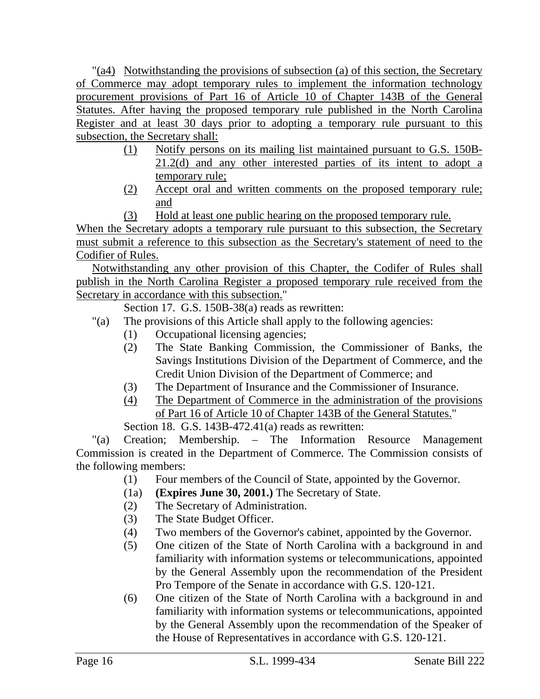"(a4) Notwithstanding the provisions of subsection (a) of this section, the Secretary of Commerce may adopt temporary rules to implement the information technology procurement provisions of Part 16 of Article 10 of Chapter 143B of the General Statutes. After having the proposed temporary rule published in the North Carolina Register and at least 30 days prior to adopting a temporary rule pursuant to this subsection, the Secretary shall:

- (1) Notify persons on its mailing list maintained pursuant to G.S. 150B-21.2(d) and any other interested parties of its intent to adopt a temporary rule;
- (2) Accept oral and written comments on the proposed temporary rule; and
- (3) Hold at least one public hearing on the proposed temporary rule.

When the Secretary adopts a temporary rule pursuant to this subsection, the Secretary must submit a reference to this subsection as the Secretary's statement of need to the Codifier of Rules.

Notwithstanding any other provision of this Chapter, the Codifer of Rules shall publish in the North Carolina Register a proposed temporary rule received from the Secretary in accordance with this subsection."

Section 17. G.S. 150B-38(a) reads as rewritten:

- "(a) The provisions of this Article shall apply to the following agencies:
	- (1) Occupational licensing agencies;
	- (2) The State Banking Commission, the Commissioner of Banks, the Savings Institutions Division of the Department of Commerce, and the Credit Union Division of the Department of Commerce; and
	- (3) The Department of Insurance and the Commissioner of Insurance.
	- (4) The Department of Commerce in the administration of the provisions of Part 16 of Article 10 of Chapter 143B of the General Statutes." Section 18. G.S. 143B-472.41(a) reads as rewritten:

"(a) Creation; Membership. – The Information Resource Management Commission is created in the Department of Commerce. The Commission consists of the following members:

- (1) Four members of the Council of State, appointed by the Governor.
- (1a) **(Expires June 30, 2001.)** The Secretary of State.
- (2) The Secretary of Administration.
- (3) The State Budget Officer.
- (4) Two members of the Governor's cabinet, appointed by the Governor.
- (5) One citizen of the State of North Carolina with a background in and familiarity with information systems or telecommunications, appointed by the General Assembly upon the recommendation of the President Pro Tempore of the Senate in accordance with G.S. 120-121.
- (6) One citizen of the State of North Carolina with a background in and familiarity with information systems or telecommunications, appointed by the General Assembly upon the recommendation of the Speaker of the House of Representatives in accordance with G.S. 120-121.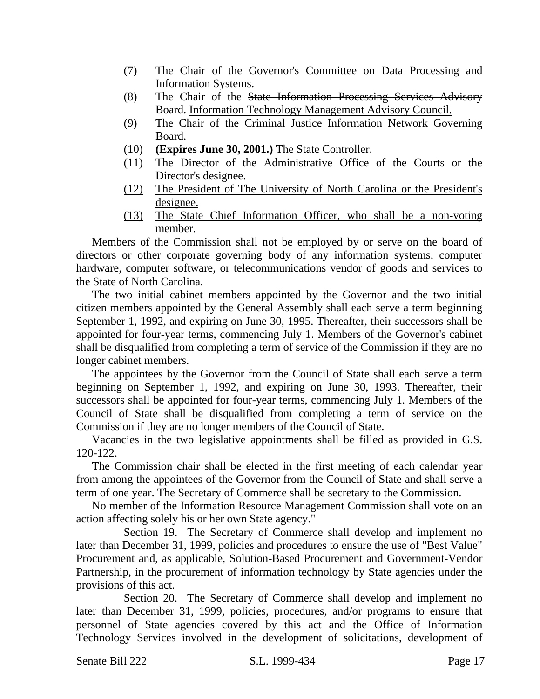- (7) The Chair of the Governor's Committee on Data Processing and Information Systems.
- (8) The Chair of the State Information Processing Services Advisory Board. Information Technology Management Advisory Council.
- (9) The Chair of the Criminal Justice Information Network Governing Board.
- (10) **(Expires June 30, 2001.)** The State Controller.
- (11) The Director of the Administrative Office of the Courts or the Director's designee.
- (12) The President of The University of North Carolina or the President's designee.
- (13) The State Chief Information Officer, who shall be a non-voting member.

Members of the Commission shall not be employed by or serve on the board of directors or other corporate governing body of any information systems, computer hardware, computer software, or telecommunications vendor of goods and services to the State of North Carolina.

The two initial cabinet members appointed by the Governor and the two initial citizen members appointed by the General Assembly shall each serve a term beginning September 1, 1992, and expiring on June 30, 1995. Thereafter, their successors shall be appointed for four-year terms, commencing July 1. Members of the Governor's cabinet shall be disqualified from completing a term of service of the Commission if they are no longer cabinet members.

The appointees by the Governor from the Council of State shall each serve a term beginning on September 1, 1992, and expiring on June 30, 1993. Thereafter, their successors shall be appointed for four-year terms, commencing July 1. Members of the Council of State shall be disqualified from completing a term of service on the Commission if they are no longer members of the Council of State.

Vacancies in the two legislative appointments shall be filled as provided in G.S. 120-122.

The Commission chair shall be elected in the first meeting of each calendar year from among the appointees of the Governor from the Council of State and shall serve a term of one year. The Secretary of Commerce shall be secretary to the Commission.

No member of the Information Resource Management Commission shall vote on an action affecting solely his or her own State agency."

Section 19. The Secretary of Commerce shall develop and implement no later than December 31, 1999, policies and procedures to ensure the use of "Best Value" Procurement and, as applicable, Solution-Based Procurement and Government-Vendor Partnership, in the procurement of information technology by State agencies under the provisions of this act.

Section 20. The Secretary of Commerce shall develop and implement no later than December 31, 1999, policies, procedures, and/or programs to ensure that personnel of State agencies covered by this act and the Office of Information Technology Services involved in the development of solicitations, development of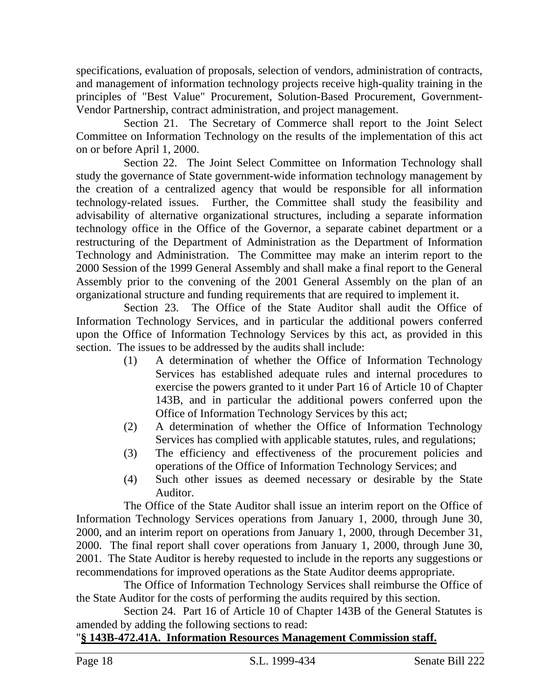specifications, evaluation of proposals, selection of vendors, administration of contracts, and management of information technology projects receive high-quality training in the principles of "Best Value" Procurement, Solution-Based Procurement, Government-Vendor Partnership, contract administration, and project management.

Section 21. The Secretary of Commerce shall report to the Joint Select Committee on Information Technology on the results of the implementation of this act on or before April 1, 2000.

Section 22. The Joint Select Committee on Information Technology shall study the governance of State government-wide information technology management by the creation of a centralized agency that would be responsible for all information technology-related issues. Further, the Committee shall study the feasibility and advisability of alternative organizational structures, including a separate information technology office in the Office of the Governor, a separate cabinet department or a restructuring of the Department of Administration as the Department of Information Technology and Administration. The Committee may make an interim report to the 2000 Session of the 1999 General Assembly and shall make a final report to the General Assembly prior to the convening of the 2001 General Assembly on the plan of an organizational structure and funding requirements that are required to implement it.

Section 23. The Office of the State Auditor shall audit the Office of Information Technology Services, and in particular the additional powers conferred upon the Office of Information Technology Services by this act, as provided in this section. The issues to be addressed by the audits shall include:

- (1) A determination of whether the Office of Information Technology Services has established adequate rules and internal procedures to exercise the powers granted to it under Part 16 of Article 10 of Chapter 143B, and in particular the additional powers conferred upon the Office of Information Technology Services by this act;
- (2) A determination of whether the Office of Information Technology Services has complied with applicable statutes, rules, and regulations;
- (3) The efficiency and effectiveness of the procurement policies and operations of the Office of Information Technology Services; and
- (4) Such other issues as deemed necessary or desirable by the State Auditor.

The Office of the State Auditor shall issue an interim report on the Office of Information Technology Services operations from January 1, 2000, through June 30, 2000, and an interim report on operations from January 1, 2000, through December 31, 2000. The final report shall cover operations from January 1, 2000, through June 30, 2001. The State Auditor is hereby requested to include in the reports any suggestions or recommendations for improved operations as the State Auditor deems appropriate.

The Office of Information Technology Services shall reimburse the Office of the State Auditor for the costs of performing the audits required by this section.

Section 24. Part 16 of Article 10 of Chapter 143B of the General Statutes is amended by adding the following sections to read:

# "**§ 143B-472.41A. Information Resources Management Commission staff.**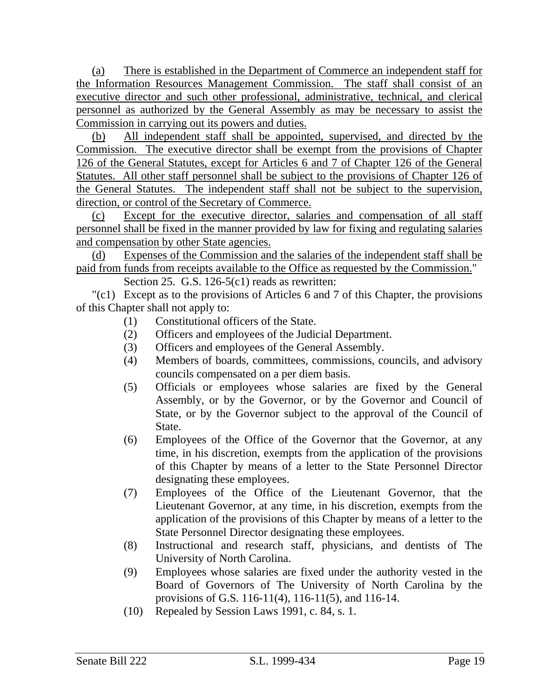(a) There is established in the Department of Commerce an independent staff for the Information Resources Management Commission. The staff shall consist of an executive director and such other professional, administrative, technical, and clerical personnel as authorized by the General Assembly as may be necessary to assist the Commission in carrying out its powers and duties.

(b) All independent staff shall be appointed, supervised, and directed by the Commission. The executive director shall be exempt from the provisions of Chapter 126 of the General Statutes, except for Articles 6 and 7 of Chapter 126 of the General Statutes. All other staff personnel shall be subject to the provisions of Chapter 126 of the General Statutes. The independent staff shall not be subject to the supervision, direction, or control of the Secretary of Commerce.

(c) Except for the executive director, salaries and compensation of all staff personnel shall be fixed in the manner provided by law for fixing and regulating salaries and compensation by other State agencies.

(d) Expenses of the Commission and the salaries of the independent staff shall be paid from funds from receipts available to the Office as requested by the Commission."

Section 25. G.S. 126-5(c1) reads as rewritten:

"(c1) Except as to the provisions of Articles 6 and 7 of this Chapter, the provisions of this Chapter shall not apply to:

- (1) Constitutional officers of the State.
- (2) Officers and employees of the Judicial Department.
- (3) Officers and employees of the General Assembly.
- (4) Members of boards, committees, commissions, councils, and advisory councils compensated on a per diem basis.
- (5) Officials or employees whose salaries are fixed by the General Assembly, or by the Governor, or by the Governor and Council of State, or by the Governor subject to the approval of the Council of State.
- (6) Employees of the Office of the Governor that the Governor, at any time, in his discretion, exempts from the application of the provisions of this Chapter by means of a letter to the State Personnel Director designating these employees.
- (7) Employees of the Office of the Lieutenant Governor, that the Lieutenant Governor, at any time, in his discretion, exempts from the application of the provisions of this Chapter by means of a letter to the State Personnel Director designating these employees.
- (8) Instructional and research staff, physicians, and dentists of The University of North Carolina.
- (9) Employees whose salaries are fixed under the authority vested in the Board of Governors of The University of North Carolina by the provisions of G.S. 116-11(4), 116-11(5), and 116-14.
- (10) Repealed by Session Laws 1991, c. 84, s. 1.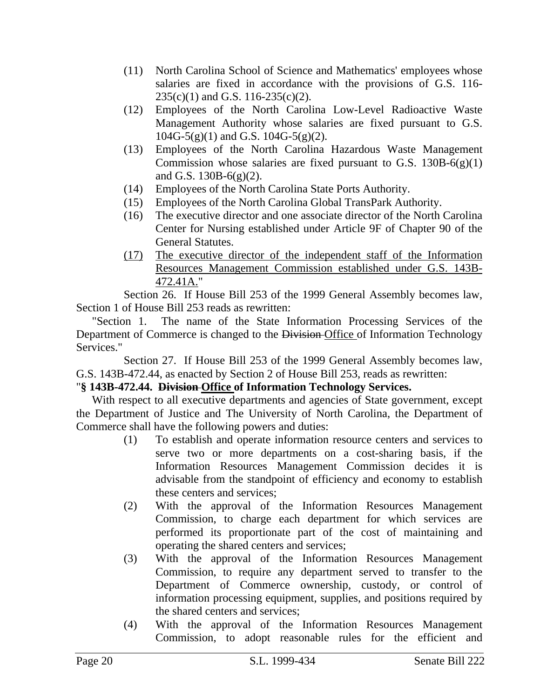- (11) North Carolina School of Science and Mathematics' employees whose salaries are fixed in accordance with the provisions of G.S. 116- 235(c)(1) and G.S. 116-235(c)(2).
- (12) Employees of the North Carolina Low-Level Radioactive Waste Management Authority whose salaries are fixed pursuant to G.S.  $104G-5(g)(1)$  and G.S.  $104G-5(g)(2)$ .
- (13) Employees of the North Carolina Hazardous Waste Management Commission whose salaries are fixed pursuant to G.S.  $130B-6(g)(1)$ and G.S. 130B-6(g)(2).
- (14) Employees of the North Carolina State Ports Authority.
- (15) Employees of the North Carolina Global TransPark Authority.
- (16) The executive director and one associate director of the North Carolina Center for Nursing established under Article 9F of Chapter 90 of the General Statutes.
- (17) The executive director of the independent staff of the Information Resources Management Commission established under G.S. 143B-472.41A."

Section 26. If House Bill 253 of the 1999 General Assembly becomes law, Section 1 of House Bill 253 reads as rewritten:

"Section 1. The name of the State Information Processing Services of the Department of Commerce is changed to the Division Office of Information Technology Services."

Section 27. If House Bill 253 of the 1999 General Assembly becomes law, G.S. 143B-472.44, as enacted by Section 2 of House Bill 253, reads as rewritten:

# "**§ 143B-472.44. Division Office of Information Technology Services.**

With respect to all executive departments and agencies of State government, except the Department of Justice and The University of North Carolina, the Department of Commerce shall have the following powers and duties:

- (1) To establish and operate information resource centers and services to serve two or more departments on a cost-sharing basis, if the Information Resources Management Commission decides it is advisable from the standpoint of efficiency and economy to establish these centers and services;
- (2) With the approval of the Information Resources Management Commission, to charge each department for which services are performed its proportionate part of the cost of maintaining and operating the shared centers and services;
- (3) With the approval of the Information Resources Management Commission, to require any department served to transfer to the Department of Commerce ownership, custody, or control of information processing equipment, supplies, and positions required by the shared centers and services;
- (4) With the approval of the Information Resources Management Commission, to adopt reasonable rules for the efficient and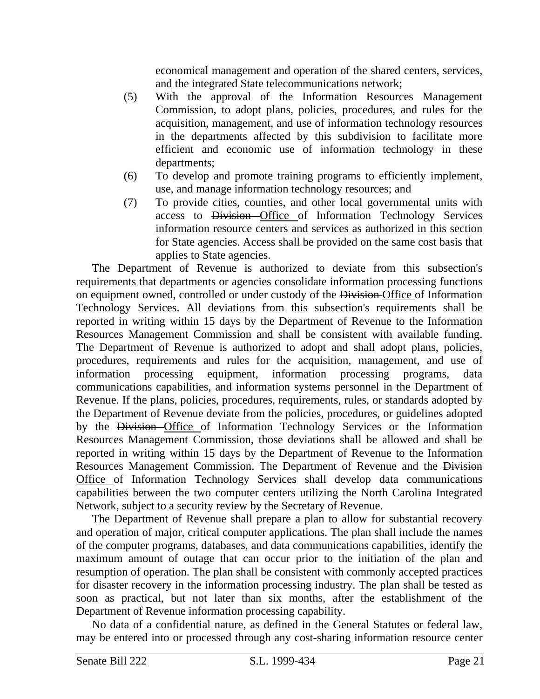economical management and operation of the shared centers, services, and the integrated State telecommunications network;

- (5) With the approval of the Information Resources Management Commission, to adopt plans, policies, procedures, and rules for the acquisition, management, and use of information technology resources in the departments affected by this subdivision to facilitate more efficient and economic use of information technology in these departments;
- (6) To develop and promote training programs to efficiently implement, use, and manage information technology resources; and
- (7) To provide cities, counties, and other local governmental units with access to Division Office of Information Technology Services information resource centers and services as authorized in this section for State agencies. Access shall be provided on the same cost basis that applies to State agencies.

The Department of Revenue is authorized to deviate from this subsection's requirements that departments or agencies consolidate information processing functions on equipment owned, controlled or under custody of the Division Office of Information Technology Services. All deviations from this subsection's requirements shall be reported in writing within 15 days by the Department of Revenue to the Information Resources Management Commission and shall be consistent with available funding. The Department of Revenue is authorized to adopt and shall adopt plans, policies, procedures, requirements and rules for the acquisition, management, and use of information processing equipment, information processing programs, data communications capabilities, and information systems personnel in the Department of Revenue. If the plans, policies, procedures, requirements, rules, or standards adopted by the Department of Revenue deviate from the policies, procedures, or guidelines adopted by the Division Office of Information Technology Services or the Information Resources Management Commission, those deviations shall be allowed and shall be reported in writing within 15 days by the Department of Revenue to the Information Resources Management Commission. The Department of Revenue and the Division Office of Information Technology Services shall develop data communications capabilities between the two computer centers utilizing the North Carolina Integrated Network, subject to a security review by the Secretary of Revenue.

The Department of Revenue shall prepare a plan to allow for substantial recovery and operation of major, critical computer applications. The plan shall include the names of the computer programs, databases, and data communications capabilities, identify the maximum amount of outage that can occur prior to the initiation of the plan and resumption of operation. The plan shall be consistent with commonly accepted practices for disaster recovery in the information processing industry. The plan shall be tested as soon as practical, but not later than six months, after the establishment of the Department of Revenue information processing capability.

No data of a confidential nature, as defined in the General Statutes or federal law, may be entered into or processed through any cost-sharing information resource center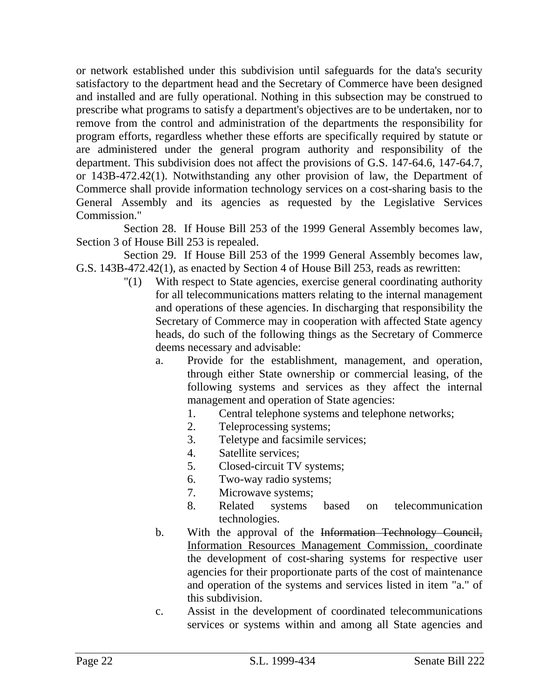or network established under this subdivision until safeguards for the data's security satisfactory to the department head and the Secretary of Commerce have been designed and installed and are fully operational. Nothing in this subsection may be construed to prescribe what programs to satisfy a department's objectives are to be undertaken, nor to remove from the control and administration of the departments the responsibility for program efforts, regardless whether these efforts are specifically required by statute or are administered under the general program authority and responsibility of the department. This subdivision does not affect the provisions of G.S. 147-64.6, 147-64.7, or 143B-472.42(1). Notwithstanding any other provision of law, the Department of Commerce shall provide information technology services on a cost-sharing basis to the General Assembly and its agencies as requested by the Legislative Services Commission."

Section 28. If House Bill 253 of the 1999 General Assembly becomes law, Section 3 of House Bill 253 is repealed.

Section 29. If House Bill 253 of the 1999 General Assembly becomes law, G.S. 143B-472.42(1), as enacted by Section 4 of House Bill 253, reads as rewritten:

- "(1) With respect to State agencies, exercise general coordinating authority for all telecommunications matters relating to the internal management and operations of these agencies. In discharging that responsibility the Secretary of Commerce may in cooperation with affected State agency heads, do such of the following things as the Secretary of Commerce deems necessary and advisable:
	- a. Provide for the establishment, management, and operation, through either State ownership or commercial leasing, of the following systems and services as they affect the internal management and operation of State agencies:
		- 1. Central telephone systems and telephone networks;
		- 2. Teleprocessing systems;
		- 3. Teletype and facsimile services;
		- 4. Satellite services;
		- 5. Closed-circuit TV systems;
		- 6. Two-way radio systems;
		- 7. Microwave systems;
		- 8. Related systems based on telecommunication technologies.
	- b. With the approval of the Information Technology Council, Information Resources Management Commission, coordinate the development of cost-sharing systems for respective user agencies for their proportionate parts of the cost of maintenance and operation of the systems and services listed in item "a." of this subdivision.
	- c. Assist in the development of coordinated telecommunications services or systems within and among all State agencies and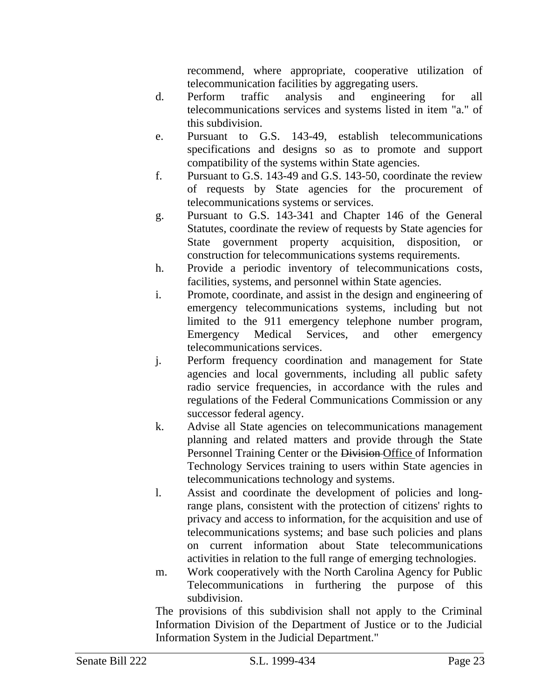recommend, where appropriate, cooperative utilization of telecommunication facilities by aggregating users.

- d. Perform traffic analysis and engineering for all telecommunications services and systems listed in item "a." of this subdivision.
- e. Pursuant to G.S. 143-49, establish telecommunications specifications and designs so as to promote and support compatibility of the systems within State agencies.
- f. Pursuant to G.S. 143-49 and G.S. 143-50, coordinate the review of requests by State agencies for the procurement of telecommunications systems or services.
- g. Pursuant to G.S. 143-341 and Chapter 146 of the General Statutes, coordinate the review of requests by State agencies for State government property acquisition, disposition, or construction for telecommunications systems requirements.
- h. Provide a periodic inventory of telecommunications costs, facilities, systems, and personnel within State agencies.
- i. Promote, coordinate, and assist in the design and engineering of emergency telecommunications systems, including but not limited to the 911 emergency telephone number program, Emergency Medical Services, and other emergency telecommunications services.
- j. Perform frequency coordination and management for State agencies and local governments, including all public safety radio service frequencies, in accordance with the rules and regulations of the Federal Communications Commission or any successor federal agency.
- k. Advise all State agencies on telecommunications management planning and related matters and provide through the State Personnel Training Center or the Division-Office of Information Technology Services training to users within State agencies in telecommunications technology and systems.
- l. Assist and coordinate the development of policies and longrange plans, consistent with the protection of citizens' rights to privacy and access to information, for the acquisition and use of telecommunications systems; and base such policies and plans on current information about State telecommunications activities in relation to the full range of emerging technologies.
- m. Work cooperatively with the North Carolina Agency for Public Telecommunications in furthering the purpose of this subdivision.

The provisions of this subdivision shall not apply to the Criminal Information Division of the Department of Justice or to the Judicial Information System in the Judicial Department."